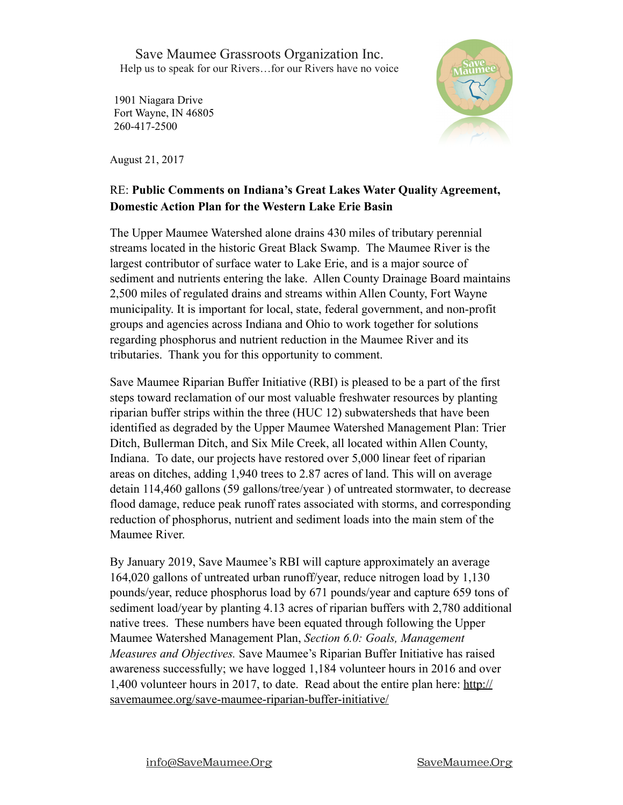Save Maumee Grassroots Organization Inc. Help us to speak for our Rivers…for our Rivers have no voice

1901 Niagara Drive Fort Wayne, IN 46805 260-417-2500

August 21, 2017



## RE: **Public Comments on Indiana's Great Lakes Water Quality Agreement, Domestic Action Plan for the Western Lake Erie Basin**

The Upper Maumee Watershed alone drains 430 miles of tributary perennial streams located in the historic Great Black Swamp. The Maumee River is the largest contributor of surface water to Lake Erie, and is a major source of sediment and nutrients entering the lake. Allen County Drainage Board maintains 2,500 miles of regulated drains and streams within Allen County, Fort Wayne municipality. It is important for local, state, federal government, and non-profit groups and agencies across Indiana and Ohio to work together for solutions regarding phosphorus and nutrient reduction in the Maumee River and its tributaries. Thank you for this opportunity to comment.

Save Maumee Riparian Buffer Initiative (RBI) is pleased to be a part of the first steps toward reclamation of our most valuable freshwater resources by planting riparian buffer strips within the three (HUC 12) subwatersheds that have been identified as degraded by the Upper Maumee Watershed Management Plan: Trier Ditch, Bullerman Ditch, and Six Mile Creek, all located within Allen County, Indiana. To date, our projects have restored over 5,000 linear feet of riparian areas on ditches, adding 1,940 trees to 2.87 acres of land. This will on average detain 114,460 gallons (59 gallons/tree/year ) of untreated stormwater, to decrease flood damage, reduce peak runoff rates associated with storms, and corresponding reduction of phosphorus, nutrient and sediment loads into the main stem of the Maumee River.

By January 2019, Save Maumee's RBI will capture approximately an average 164,020 gallons of untreated urban runoff/year, reduce nitrogen load by 1,130 pounds/year, reduce phosphorus load by 671 pounds/year and capture 659 tons of sediment load/year by planting 4.13 acres of riparian buffers with 2,780 additional native trees. These numbers have been equated through following the Upper Maumee Watershed Management Plan, *Section 6.0: Goals, Management Measures and Objectives.* Save Maumee's Riparian Buffer Initiative has raised awareness successfully; we have logged 1,184 volunteer hours in 2016 and over 1,400 volunteer hours in 2017, to date. Read about the entire plan here: [http://](http://savemaumee.org/save-maumee-riparian-buffer-initiative/) [savemaumee.org/save-maumee-riparian-buffer-initiative/](http://savemaumee.org/save-maumee-riparian-buffer-initiative/)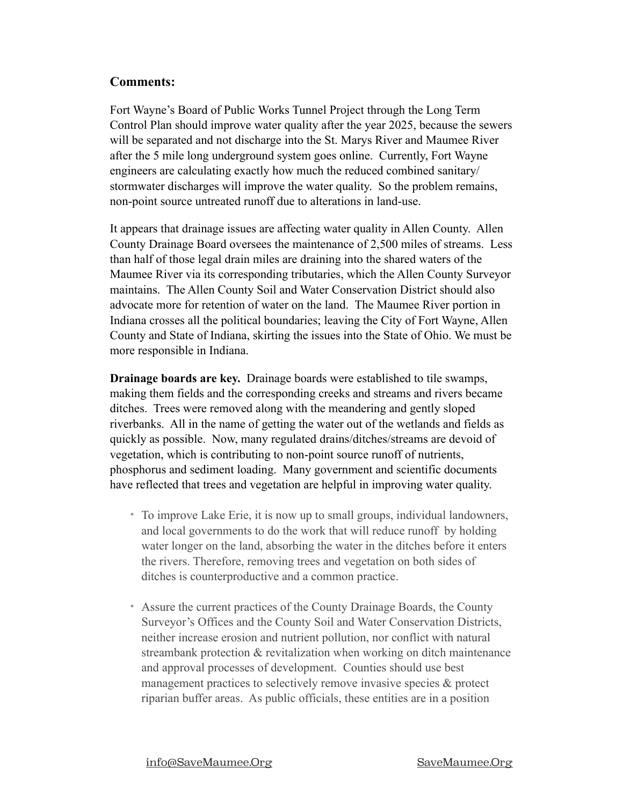## **Comments:**

Fort Wayne's Board of Public Works Tunnel Project through the Long Term Control Plan should improve water quality after the year 2025, because the sewers will be separated and not discharge into the St. Marys River and Maumee River after the 5 mile long underground system goes online. Currently, Fort Wayne engineers are calculating exactly how much the reduced combined sanitary/ stormwater discharges will improve the water quality. So the problem remains, non-point source untreated runoff due to alterations in land-use.

It appears that drainage issues are affecting water quality in Allen County. Allen County Drainage Board oversees the maintenance of 2,500 miles of streams. Less than half of those legal drain miles are draining into the shared waters of the Maumee River via its corresponding tributaries, which the Allen County Surveyor maintains. The Allen County Soil and Water Conservation District should also advocate more for retention of water on the land. The Maumee River portion in Indiana crosses all the political boundaries; leaving the City of Fort Wayne, Allen County and State of Indiana, skirting the issues into the State of Ohio. We must be more responsible in Indiana.

**Drainage boards are key.** Drainage boards were established to tile swamps, making them fields and the corresponding creeks and streams and rivers became ditches. Trees were removed along with the meandering and gently sloped riverbanks. All in the name of getting the water out of the wetlands and fields as quickly as possible. Now, many regulated drains/ditches/streams are devoid of vegetation, which is contributing to non-point source runoff of nutrients, phosphorus and sediment loading. Many government and scientific documents have reflected that trees and vegetation are helpful in improving water quality.

- To improve Lake Erie, it is now up to small groups, individual landowners, and local governments to do the work that will reduce runoff by holding water longer on the land, absorbing the water in the ditches before it enters the rivers. Therefore, removing trees and vegetation on both sides of ditches is counterproductive and a common practice.
- Assure the current practices of the County Drainage Boards, the County Surveyor's Offices and the County Soil and Water Conservation Districts, neither increase erosion and nutrient pollution, nor conflict with natural streambank protection & revitalization when working on ditch maintenance and approval processes of development. Counties should use best management practices to selectively remove invasive species & protect riparian buffer areas. As public officials, these entities are in a position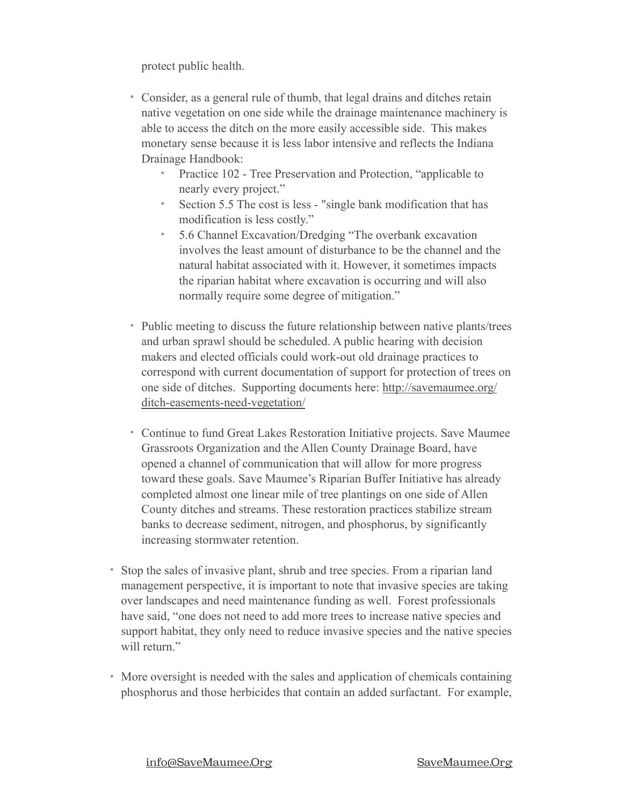protect public health.

- Consider, as a general rule of thumb, that legal drains and ditches retain native vegetation on one side while the drainage maintenance machinery is able to access the ditch on the more easily accessible side. This makes monetary sense because it is less labor intensive and reflects the Indiana Drainage Handbook:
	- Practice 102 Tree Preservation and Protection, "applicable to nearly every project."
	- Section 5.5 The cost is less "single bank modification that has modification is less costly."
	- 5.6 Channel Excavation/Dredging "The overbank excavation involves the least amount of disturbance to be the channel and the natural habitat associated with it. However, it sometimes impacts the riparian habitat where excavation is occurring and will also normally require some degree of mitigation."
- Public meeting to discuss the future relationship between native plants/trees and urban sprawl should be scheduled. A public hearing with decision makers and elected officials could work-out old drainage practices to correspond with current documentation of support for protection of trees on one side of ditches. Supporting documents here: [http://savemaumee.org/](http://savemaumee.org/ditch-easements-need-vegetation/) [ditch-easements-need-vegetation/](http://savemaumee.org/ditch-easements-need-vegetation/)
- Continue to fund Great Lakes Restoration Initiative projects. Save Maumee Grassroots Organization and the Allen County Drainage Board, have opened a channel of communication that will allow for more progress toward these goals. Save Maumee's Riparian Buffer Initiative has already completed almost one linear mile of tree plantings on one side of Allen County ditches and streams. These restoration practices stabilize stream banks to decrease sediment, nitrogen, and phosphorus, by significantly increasing stormwater retention.
- Stop the sales of invasive plant, shrub and tree species. From a riparian land management perspective, it is important to note that invasive species are taking over landscapes and need maintenance funding as well. Forest professionals have said, "one does not need to add more trees to increase native species and support habitat, they only need to reduce invasive species and the native species will return"
- More oversight is needed with the sales and application of chemicals containing phosphorus and those herbicides that contain an added surfactant. For example,